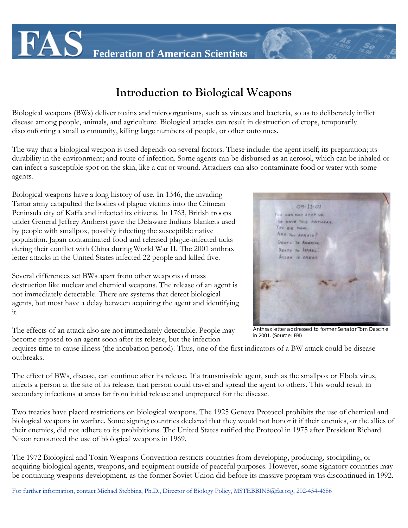**Federation of American Scientists**

## **Introduction to Biological Weapons**

Biological weapons (BWs) deliver toxins and microorganisms, such as viruses and bacteria, so as to deliberately inflict disease among people, animals, and agriculture. Biological attacks can result in destruction of crops, temporarily discomforting a small community, killing large numbers of people, or other outcomes.

The way that a biological weapon is used depends on several factors. These include: the agent itself; its preparation; its durability in the environment; and route of infection. Some agents can be disbursed as an aerosol, which can be inhaled or can infect a susceptible spot on the skin, like a cut or wound. Attackers can also contaminate food or water with some agents.

Biological weapons have a long history of use. In 1346, the invading Tartar army catapulted the bodies of plague victims into the Crimean Peninsula city of Kaffa and infected its citizens. In 1763, British troops under General Jeffrey Amherst gave the Delaware Indians blankets used by people with smallpox, possibly infecting the susceptible native population. Japan contaminated food and released plague-infected ticks during their conflict with China during World War II. The 2001 anthrax letter attacks in the United States infected 22 people and killed five.

Several differences set BWs apart from other weapons of mass destruction like nuclear and chemical weapons. The release of an agent is not immediately detectable. There are systems that detect biological agents, but most have a delay between acquiring the agent and identifying it.

The effects of an attack also are not immediately detectable. People may become exposed to an agent soon after its release, but the infection

requires time to cause illness (the incubation period). Thus, one of the first indicators of a BW attack could be disease outbreaks.

The effect of BWs, disease, can continue after its release. If a transmissible agent, such as the smallpox or Ebola virus, infects a person at the site of its release, that person could travel and spread the agent to others. This would result in secondary infections at areas far from initial release and unprepared for the disease.

Two treaties have placed restrictions on biological weapons. The 1925 Geneva Protocol prohibits the use of chemical and biological weapons in warfare. Some signing countries declared that they would not honor it if their enemies, or the allies of their enemies, did not adhere to its prohibitions. The United States ratified the Protocol in 1975 after President Richard Nixon renounced the use of biological weapons in 1969.

The 1972 Biological and Toxin Weapons Convention restricts countries from developing, producing, stockpiling, or acquiring biological agents, weapons, and equipment outside of peaceful purposes. However, some signatory countries may be continuing weapons development, as the former Soviet Union did before its massive program was discontinued in 1992.

For further information, contact Michael Stebbins, Ph.D., Director of Biology Policy, MSTEBBINS@fas.org, 202-454-4686

*Anthrax letter addressed to former Senator Tom Daschle in 2001. (Source: FBI)*

 $09 - 11 - 01$ CAN NOT STOP US **VE HAVE THIS ANTHA** OU DIE NOW. ARE YOU AFRAIS? DEATH TO AMERICA. DEATH TO ISRAEL. ALLAN IS SREAT.

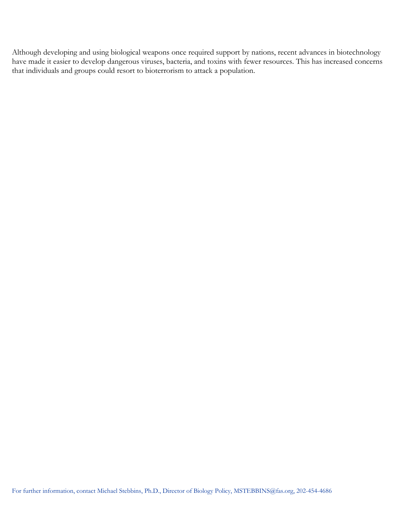Although developing and using biological weapons once required support by nations, recent advances in biotechnology have made it easier to develop dangerous viruses, bacteria, and toxins with fewer resources. This has increased concerns that individuals and groups could resort to bioterrorism to attack a population.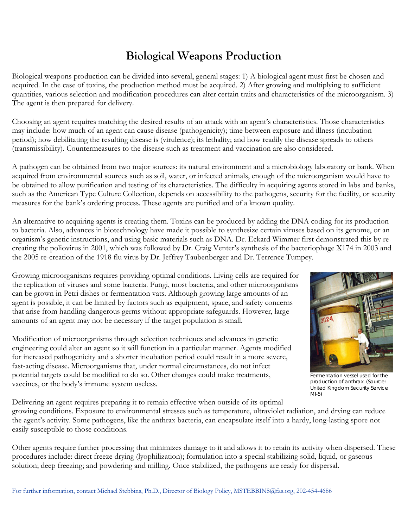## **Biological Weapons Production**

Biological weapons production can be divided into several, general stages: 1) A biological agent must first be chosen and acquired. In the case of toxins, the production method must be acquired. 2) After growing and multiplying to sufficient quantities, various selection and modification procedures can alter certain traits and characteristics of the microorganism. 3) The agent is then prepared for delivery.

Choosing an agent requires matching the desired results of an attack with an agent's characteristics. Those characteristics may include: how much of an agent can cause disease (pathogenicity); time between exposure and illness (incubation period); how debilitating the resulting disease is (virulence); its lethality; and how readily the disease spreads to others (transmissibility). Countermeasures to the disease such as treatment and vaccination are also considered.

A pathogen can be obtained from two major sources: its natural environment and a microbiology laboratory or bank. When acquired from environmental sources such as soil, water, or infected animals, enough of the microorganism would have to be obtained to allow purification and testing of its characteristics. The difficulty in acquiring agents stored in labs and banks, such as the American Type Culture Collection, depends on accessibility to the pathogens, security for the facility, or security measures for the bank's ordering process. These agents are purified and of a known quality.

An alternative to acquiring agents is creating them. Toxins can be produced by adding the DNA coding for its production to bacteria. Also, advances in biotechnology have made it possible to synthesize certain viruses based on its genome, or an organism's genetic instructions, and using basic materials such as DNA. Dr. Eckard Wimmer first demonstrated this by recreating the poliovirus in 2001, which was followed by Dr. Craig Venter's synthesis of the bacteriophage X174 in 2003 and the 2005 re-creation of the 1918 flu virus by Dr. Jeffrey Taubenberger and Dr. Terrence Tumpey.

Growing microorganisms requires providing optimal conditions. Living cells are required for the replication of viruses and some bacteria. Fungi, most bacteria, and other microorganisms can be grown in Petri dishes or fermentation vats. Although growing large amounts of an agent is possible, it can be limited by factors such as equipment, space, and safety concerns that arise from handling dangerous germs without appropriate safeguards. However, large amounts of an agent may not be necessary if the target population is small.

Modification of microorganisms through selection techniques and advances in genetic engineering could alter an agent so it will function in a particular manner. Agents modified for increased pathogenicity and a shorter incubation period could result in a more severe, fast-acting disease. Microorganisms that, under normal circumstances, do not infect potential targets could be modified to do so. Other changes could make treatments, vaccines, or the body's immune system useless.



*Fermentation vessel used for the production of anthrax. (Source: United Kingdom Security Service MI-5)*

Delivering an agent requires preparing it to remain effective when outside of its optimal growing conditions. Exposure to environmental stresses such as temperature, ultraviolet radiation, and drying can reduce the agent's activity. Some pathogens, like the anthrax bacteria, can encapsulate itself into a hardy, long-lasting spore not easily susceptible to those conditions.

Other agents require further processing that minimizes damage to it and allows it to retain its activity when dispersed. These procedures include: direct freeze drying (lyophilization); formulation into a special stabilizing solid, liquid, or gaseous solution; deep freezing; and powdering and milling. Once stabilized, the pathogens are ready for dispersal.